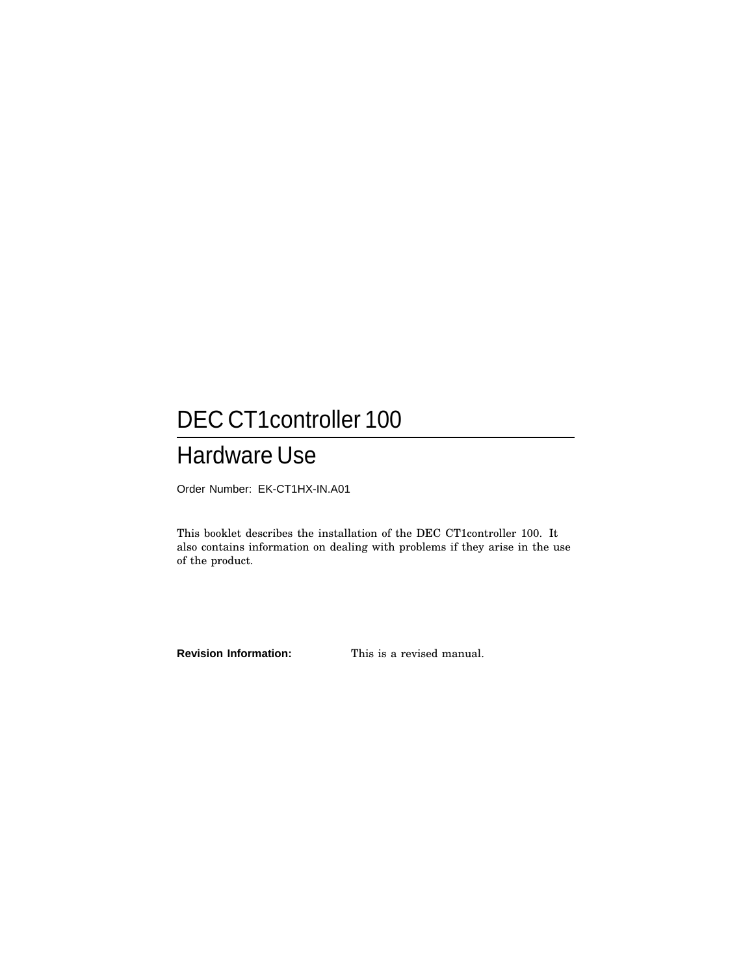# DEC CT1controller 100

## Hardware Use

Order Number: EK-CT1HX-IN.A01

This booklet describes the installation of the DEC CT1controller 100. It also contains information on dealing with problems if they arise in the use of the product.

**Revision Information:** This is a revised manual.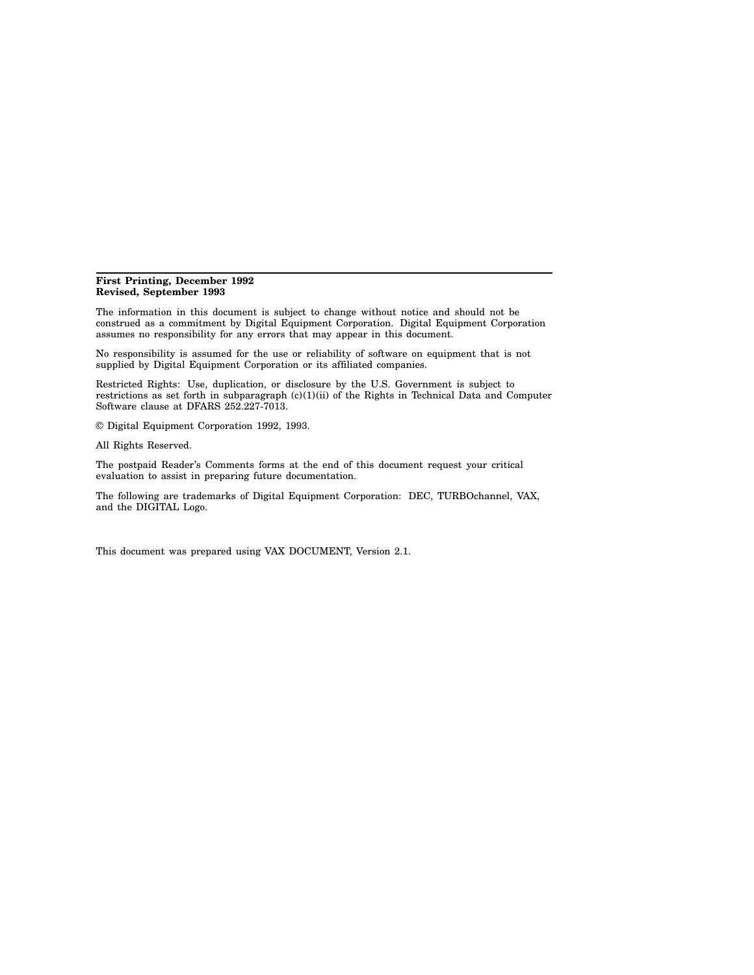#### **First Printing, December 1992 Revised, September 1993**

The information in this document is subject to change without notice and should not be construed as a commitment by Digital Equipment Corporation. Digital Equipment Corporation assumes no responsibility for any errors that may appear in this document.

No responsibility is assumed for the use or reliability of software on equipment that is not supplied by Digital Equipment Corporation or its affiliated companies.

Restricted Rights: Use, duplication, or disclosure by the U.S. Government is subject to restrictions as set forth in subparagraph (c)(1)(ii) of the Rights in Technical Data and Computer Software clause at DFARS 252.227-7013.

© Digital Equipment Corporation 1992, 1993.

All Rights Reserved.

The postpaid Reader's Comments forms at the end of this document request your critical evaluation to assist in preparing future documentation.

The following are trademarks of Digital Equipment Corporation: DEC, TURBOchannel, VAX, and the DIGITAL Logo.

This document was prepared using VAX DOCUMENT, Version 2.1.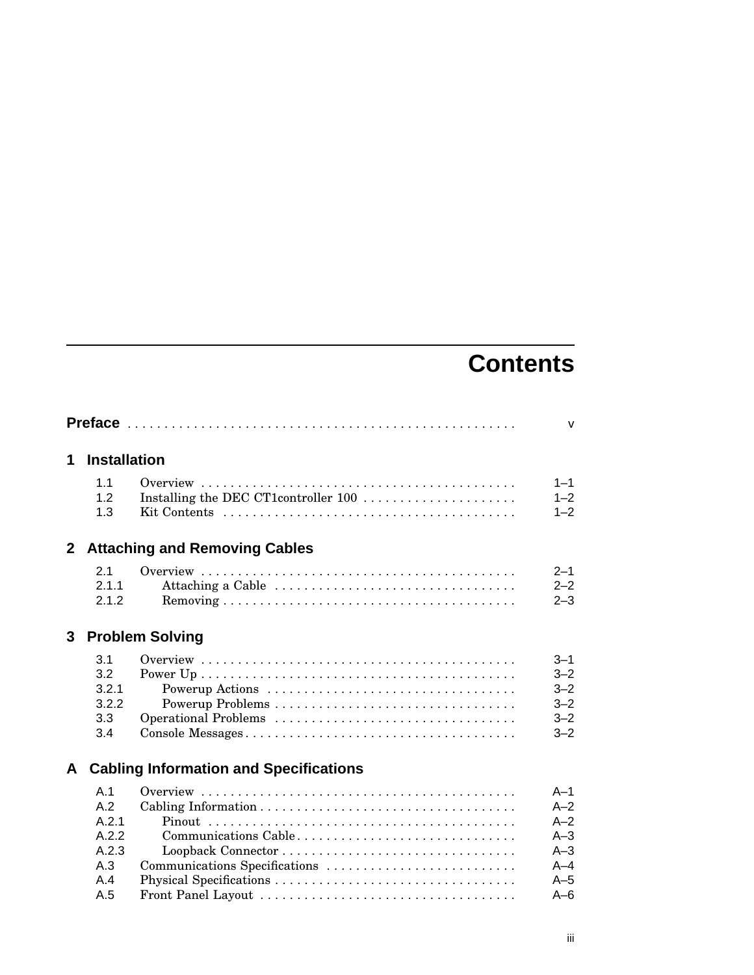# **Contents**

|   |                                                            |                                                       | $\mathsf{V}$                                                             |
|---|------------------------------------------------------------|-------------------------------------------------------|--------------------------------------------------------------------------|
| 1 | <b>Installation</b>                                        |                                                       |                                                                          |
|   | 1.1<br>1.2<br>1.3                                          | Installing the DEC CT1controller 100                  | $1 - 1$<br>$1 - 2$<br>$1 - 2$                                            |
|   |                                                            | 2 Attaching and Removing Cables                       |                                                                          |
|   | 2.1<br>2.1.1<br>2.1.2                                      | Attaching a Cable                                     | $2 - 1$<br>$2 - 2$<br>$2 - 3$                                            |
| 3 |                                                            | <b>Problem Solving</b>                                |                                                                          |
|   | 3.1<br>3.2<br>3.2.1<br>3.2.2<br>3.3<br>3.4                 | Powerup Actions<br>Operational Problems               | $3 - 1$<br>$3 - 2$<br>$3 - 2$<br>$3 - 2$<br>$3 - 2$<br>$3 - 2$           |
| A |                                                            | <b>Cabling Information and Specifications</b>         |                                                                          |
|   | A.1<br>A.2<br>A.2.1<br>A.2.2<br>A.2.3<br>A.3<br>A.4<br>A.5 | Communications Cable<br>Communications Specifications | $A-1$<br>$A - 2$<br>$A-2$<br>$A-3$<br>$A-3$<br>$A-4$<br>$A-5$<br>$A - 6$ |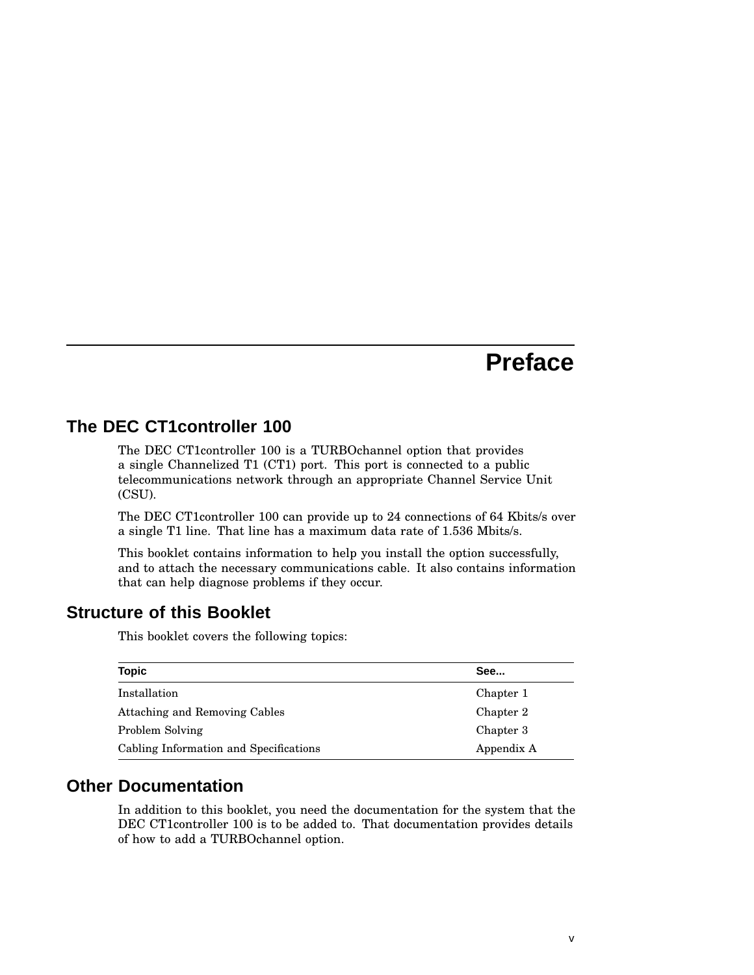## **Preface**

#### **The DEC CT1controller 100**

The DEC CT1controller 100 is a TURBOchannel option that provides a single Channelized T1 (CT1) port. This port is connected to a public telecommunications network through an appropriate Channel Service Unit (CSU).

The DEC CT1controller 100 can provide up to 24 connections of 64 Kbits/s over a single T1 line. That line has a maximum data rate of 1.536 Mbits/s.

This booklet contains information to help you install the option successfully, and to attach the necessary communications cable. It also contains information that can help diagnose problems if they occur.

#### **Structure of this Booklet**

This booklet covers the following topics:

| <b>Topic</b>                           | See        |
|----------------------------------------|------------|
| Installation                           | Chapter 1  |
| Attaching and Removing Cables          | Chapter 2  |
| Problem Solving                        | Chapter 3  |
| Cabling Information and Specifications | Appendix A |

#### **Other Documentation**

In addition to this booklet, you need the documentation for the system that the DEC CT1controller 100 is to be added to. That documentation provides details of how to add a TURBOchannel option.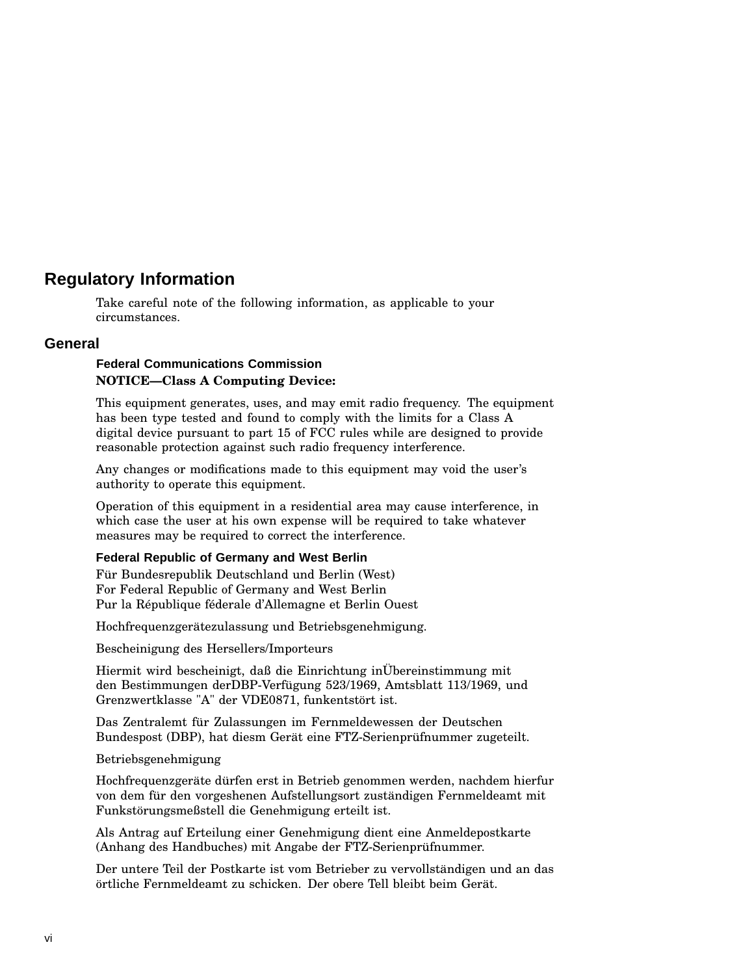#### **Regulatory Information**

Take careful note of the following information, as applicable to your circumstances.

#### **General**

#### **Federal Communications Commission NOTICE—Class A Computing Device:**

This equipment generates, uses, and may emit radio frequency. The equipment has been type tested and found to comply with the limits for a Class A digital device pursuant to part 15 of FCC rules while are designed to provide reasonable protection against such radio frequency interference.

Any changes or modifications made to this equipment may void the user's authority to operate this equipment.

Operation of this equipment in a residential area may cause interference, in which case the user at his own expense will be required to take whatever measures may be required to correct the interference.

#### **Federal Republic of Germany and West Berlin**

Für Bundesrepublik Deutschland und Berlin (West) For Federal Republic of Germany and West Berlin Pur la République féderale d'Allemagne et Berlin Ouest

Hochfrequenzgerätezulassung und Betriebsgenehmigung.

Bescheinigung des Hersellers/Importeurs

Hiermit wird bescheinigt, daß die Einrichtung inÜbereinstimmung mit den Bestimmungen derDBP-Verfügung 523/1969, Amtsblatt 113/1969, und Grenzwertklasse "A" der VDE0871, funkentstört ist.

Das Zentralemt für Zulassungen im Fernmeldewessen der Deutschen Bundespost (DBP), hat diesm Gerät eine FTZ-Serienprüfnummer zugeteilt.

Betriebsgenehmigung

Hochfrequenzgeräte dürfen erst in Betrieb genommen werden, nachdem hierfur von dem für den vorgeshenen Aufstellungsort zuständigen Fernmeldeamt mit Funkstörungsmeßstell die Genehmigung erteilt ist.

Als Antrag auf Erteilung einer Genehmigung dient eine Anmeldepostkarte (Anhang des Handbuches) mit Angabe der FTZ-Serienprüfnummer.

Der untere Teil der Postkarte ist vom Betrieber zu vervollständigen und an das örtliche Fernmeldeamt zu schicken. Der obere Tell bleibt beim Gerät.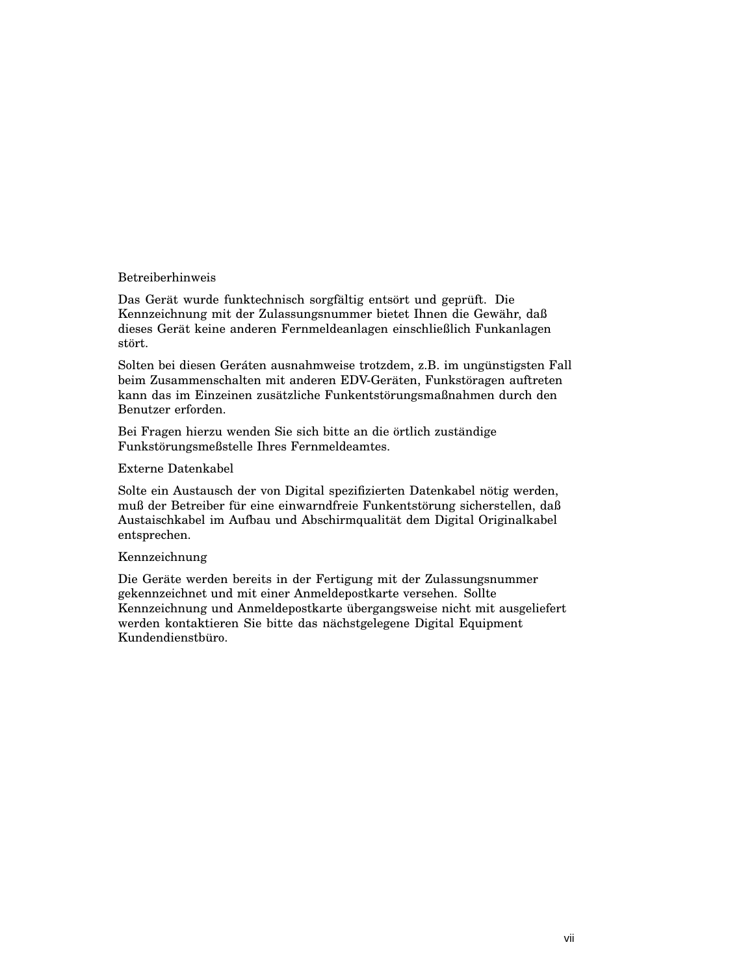#### Betreiberhinweis

Das Gerät wurde funktechnisch sorgfältig entsört und geprüft. Die Kennzeichnung mit der Zulassungsnummer bietet Ihnen die Gewähr, daß dieses Gerät keine anderen Fernmeldeanlagen einschließlich Funkanlagen stört.

Solten bei diesen Geráten ausnahmweise trotzdem, z.B. im ungünstigsten Fall beim Zusammenschalten mit anderen EDV-Geräten, Funkstöragen auftreten kann das im Einzeinen zusätzliche Funkentstörungsmaßnahmen durch den Benutzer erforden.

Bei Fragen hierzu wenden Sie sich bitte an die örtlich zuständige Funkstörungsmeßstelle Ihres Fernmeldeamtes.

#### Externe Datenkabel

Solte ein Austausch der von Digital spezifizierten Datenkabel nötig werden, muß der Betreiber für eine einwarndfreie Funkentstörung sicherstellen, daß Austaischkabel im Aufbau und Abschirmqualität dem Digital Originalkabel entsprechen.

#### Kennzeichnung

Die Geräte werden bereits in der Fertigung mit der Zulassungsnummer gekennzeichnet und mit einer Anmeldepostkarte versehen. Sollte Kennzeichnung und Anmeldepostkarte übergangsweise nicht mit ausgeliefert werden kontaktieren Sie bitte das nächstgelegene Digital Equipment Kundendienstbüro.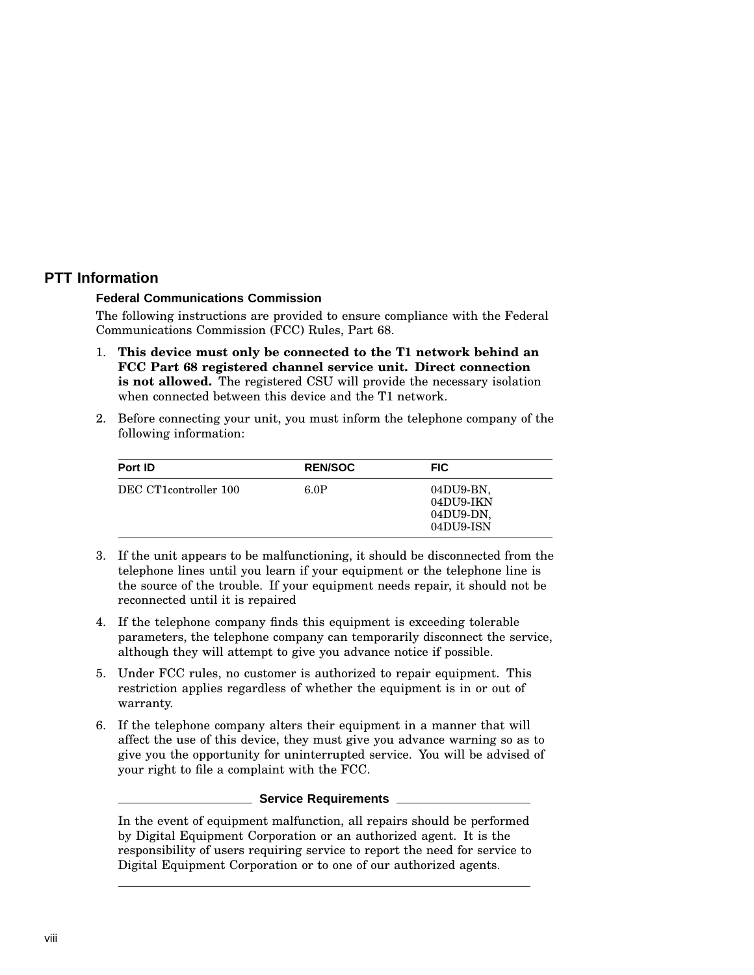#### **PTT Information**

#### **Federal Communications Commission**

The following instructions are provided to ensure compliance with the Federal Communications Commission (FCC) Rules, Part 68.

- 1. **This device must only be connected to the T1 network behind an FCC Part 68 registered channel service unit. Direct connection is not allowed.** The registered CSU will provide the necessary isolation when connected between this device and the T1 network.
- 2. Before connecting your unit, you must inform the telephone company of the following information:

| Port ID               | <b>REN/SOC</b> | <b>FIC</b>                                       |
|-----------------------|----------------|--------------------------------------------------|
| DEC CT1controller 100 | 6.0P           | 04DU9-BN.<br>04DU9-IKN<br>04DU9-DN.<br>04DU9-ISN |

- 3. If the unit appears to be malfunctioning, it should be disconnected from the telephone lines until you learn if your equipment or the telephone line is the source of the trouble. If your equipment needs repair, it should not be reconnected until it is repaired
- 4. If the telephone company finds this equipment is exceeding tolerable parameters, the telephone company can temporarily disconnect the service, although they will attempt to give you advance notice if possible.
- 5. Under FCC rules, no customer is authorized to repair equipment. This restriction applies regardless of whether the equipment is in or out of warranty.
- 6. If the telephone company alters their equipment in a manner that will affect the use of this device, they must give you advance warning so as to give you the opportunity for uninterrupted service. You will be advised of your right to file a complaint with the FCC.

#### **Service Requirements**

In the event of equipment malfunction, all repairs should be performed by Digital Equipment Corporation or an authorized agent. It is the responsibility of users requiring service to report the need for service to Digital Equipment Corporation or to one of our authorized agents.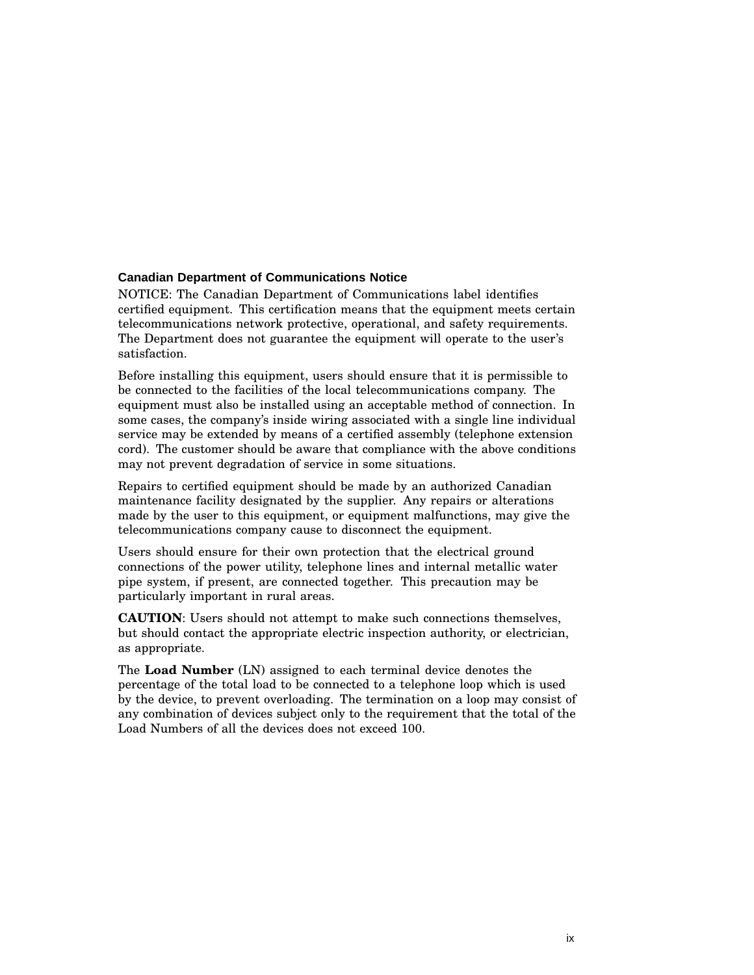#### **Canadian Department of Communications Notice**

NOTICE: The Canadian Department of Communications label identifies certified equipment. This certification means that the equipment meets certain telecommunications network protective, operational, and safety requirements. The Department does not guarantee the equipment will operate to the user's satisfaction.

Before installing this equipment, users should ensure that it is permissible to be connected to the facilities of the local telecommunications company. The equipment must also be installed using an acceptable method of connection. In some cases, the company's inside wiring associated with a single line individual service may be extended by means of a certified assembly (telephone extension cord). The customer should be aware that compliance with the above conditions may not prevent degradation of service in some situations.

Repairs to certified equipment should be made by an authorized Canadian maintenance facility designated by the supplier. Any repairs or alterations made by the user to this equipment, or equipment malfunctions, may give the telecommunications company cause to disconnect the equipment.

Users should ensure for their own protection that the electrical ground connections of the power utility, telephone lines and internal metallic water pipe system, if present, are connected together. This precaution may be particularly important in rural areas.

**CAUTION**: Users should not attempt to make such connections themselves, but should contact the appropriate electric inspection authority, or electrician, as appropriate.

The **Load Number** (LN) assigned to each terminal device denotes the percentage of the total load to be connected to a telephone loop which is used by the device, to prevent overloading. The termination on a loop may consist of any combination of devices subject only to the requirement that the total of the Load Numbers of all the devices does not exceed 100.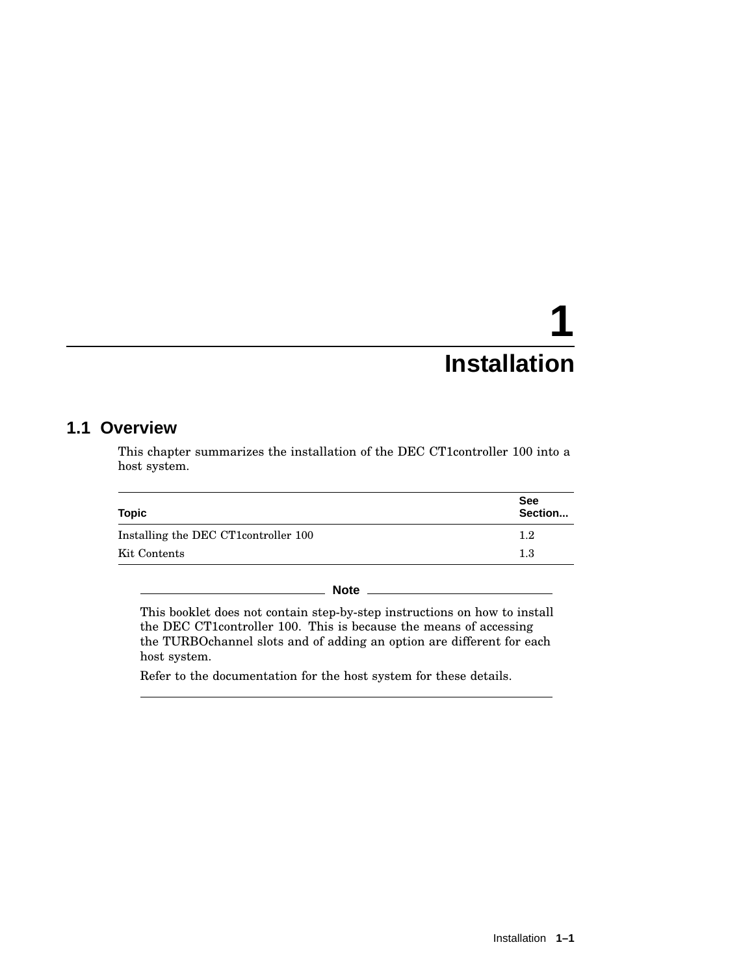# **1 Installation**

#### **1.1 Overview**

This chapter summarizes the installation of the DEC CT1controller 100 into a host system.

| <b>Topic</b>                          | <b>See</b><br>Section |  |
|---------------------------------------|-----------------------|--|
| Installing the DEC CT1 controller 100 | $1.2\,$               |  |
| Kit Contents                          | 1.3                   |  |

**Note** \_\_

This booklet does not contain step-by-step instructions on how to install the DEC CT1controller 100. This is because the means of accessing the TURBOchannel slots and of adding an option are different for each host system.

Refer to the documentation for the host system for these details.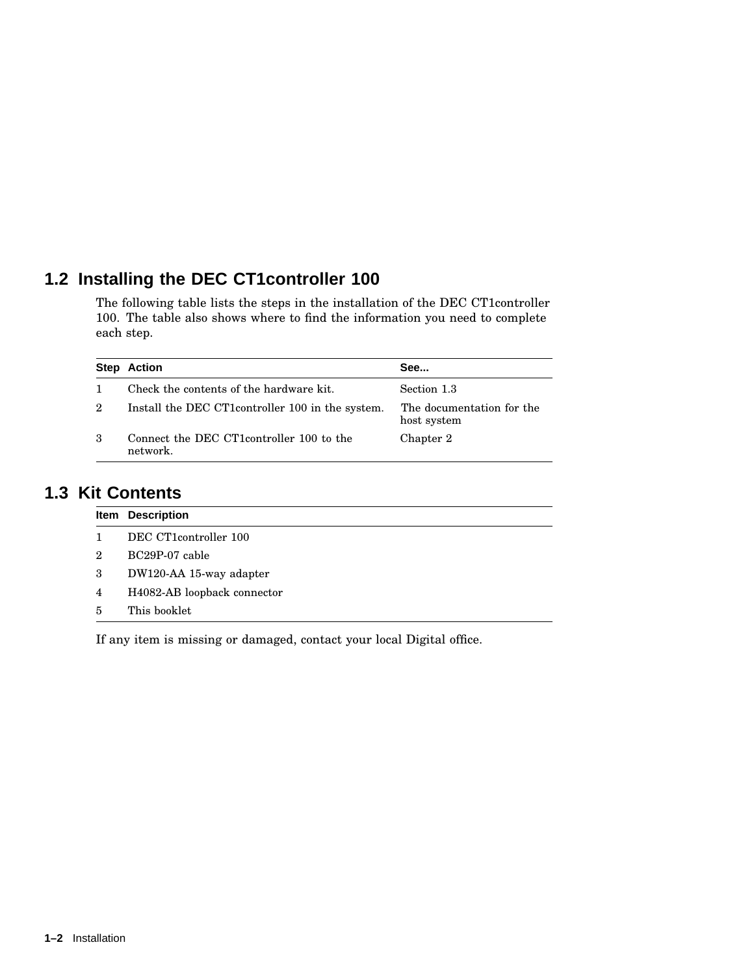### **1.2 Installing the DEC CT1controller 100**

The following table lists the steps in the installation of the DEC CT1controller 100. The table also shows where to find the information you need to complete each step.

|   | <b>Step Action</b>                                    | See                                      |
|---|-------------------------------------------------------|------------------------------------------|
|   | Check the contents of the hardware kit.               | Section 1.3                              |
| 2 | Install the DEC CT1 controller 100 in the system.     | The documentation for the<br>host system |
| 3 | Connect the DEC CT1 controller 100 to the<br>network. | Chapter 2                                |

#### **1.3 Kit Contents**

|   | Item Description            |
|---|-----------------------------|
|   | DEC CT1controller 100       |
| 2 | BC29P-07 cable              |
| 3 | DW120-AA 15-way adapter     |
| 4 | H4082-AB loopback connector |
| 5 | This booklet                |

If any item is missing or damaged, contact your local Digital office.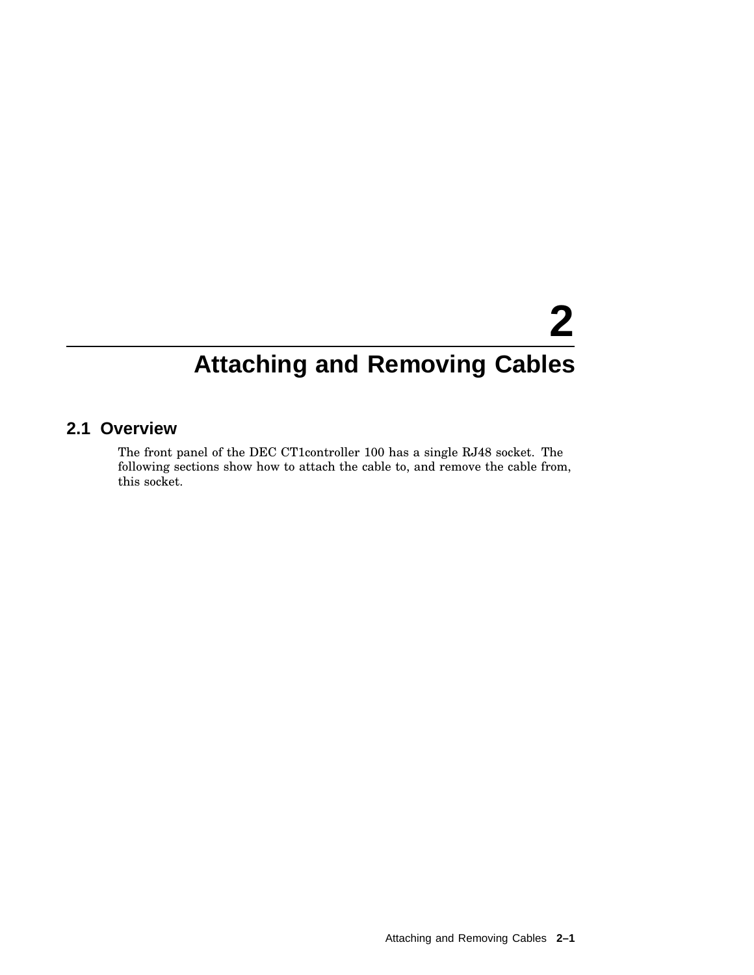# **2 Attaching and Removing Cables**

#### **2.1 Overview**

The front panel of the DEC CT1controller 100 has a single RJ48 socket. The following sections show how to attach the cable to, and remove the cable from, this socket.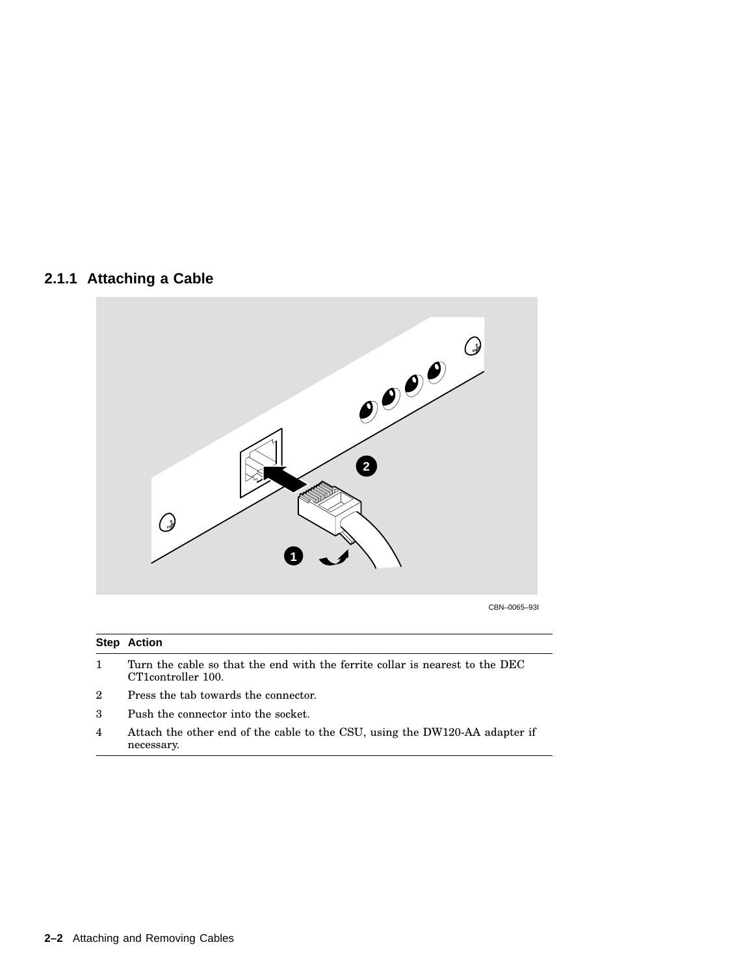#### **2.1.1 Attaching a Cable**



CBN–0065–93I

#### **Step Action**

- 1 Turn the cable so that the end with the ferrite collar is nearest to the DEC CT1controller 100.
- 2 Press the tab towards the connector.
- 3 Push the connector into the socket.
- 4 Attach the other end of the cable to the CSU, using the DW120-AA adapter if necessary.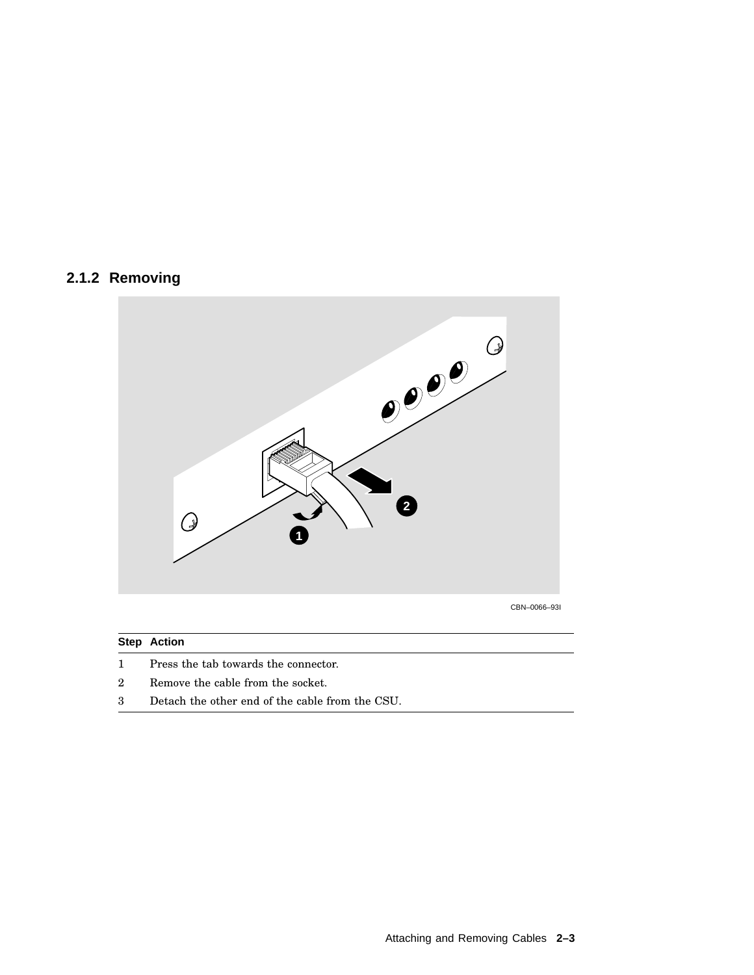#### **2.1.2 Removing**



#### **Step Action**

- 1 Press the tab towards the connector.
- 2 Remove the cable from the socket.
- 3 Detach the other end of the cable from the CSU.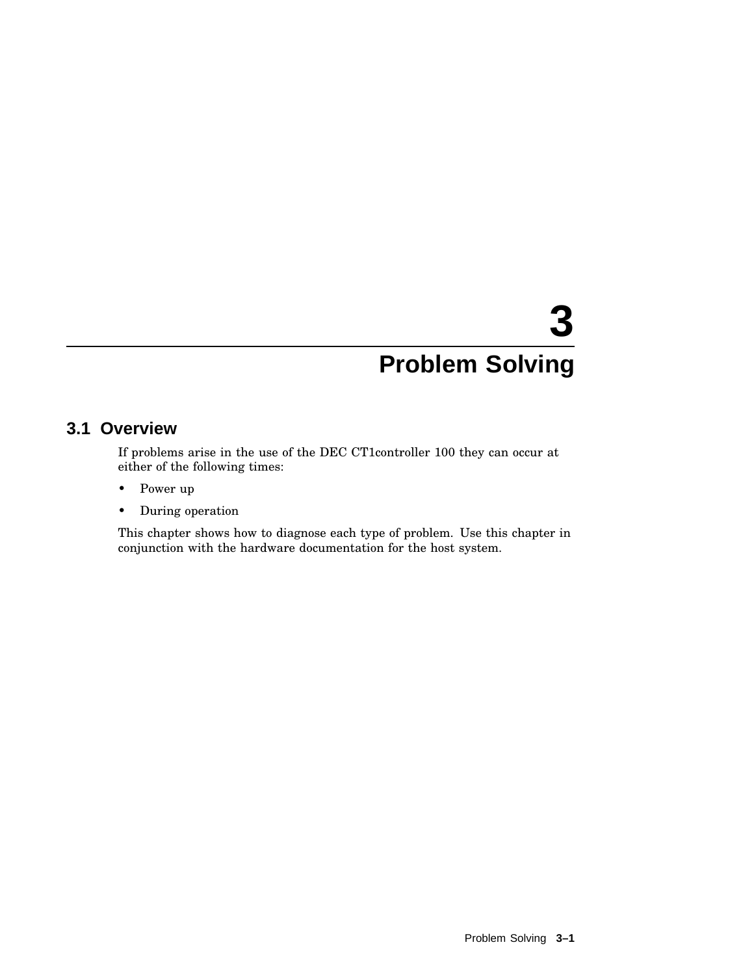# **3 Problem Solving**

#### **3.1 Overview**

If problems arise in the use of the DEC CT1controller 100 they can occur at either of the following times:

- Power up
- During operation

This chapter shows how to diagnose each type of problem. Use this chapter in conjunction with the hardware documentation for the host system.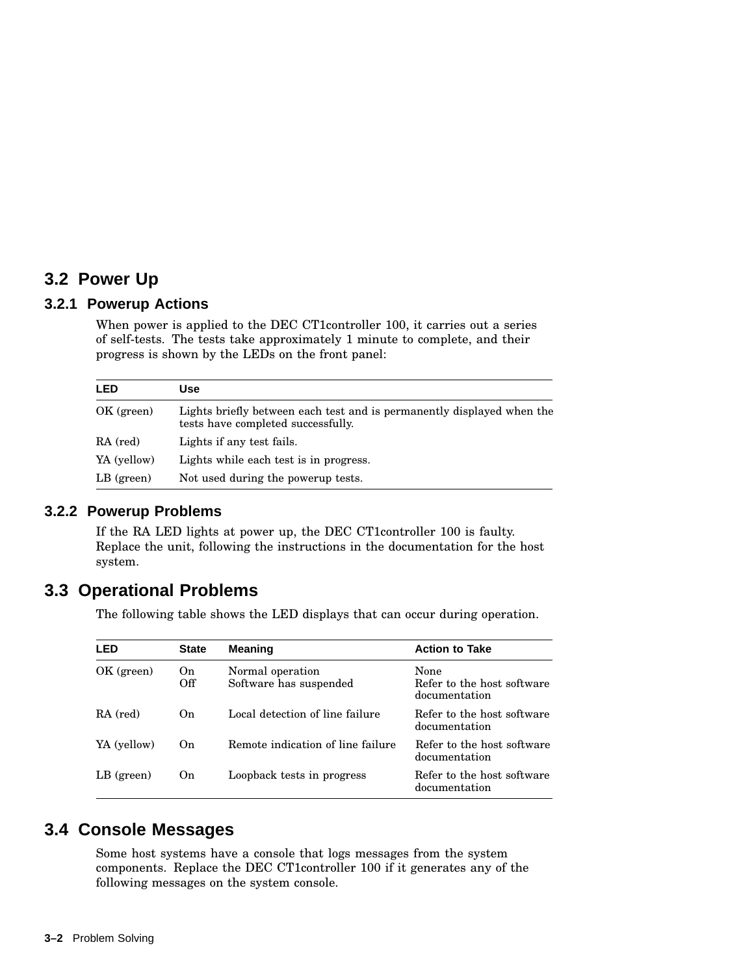#### **3.2 Power Up**

#### **3.2.1 Powerup Actions**

When power is applied to the DEC CT1controller 100, it carries out a series of self-tests. The tests take approximately 1 minute to complete, and their progress is shown by the LEDs on the front panel:

| <b>LED</b>   | Use                                                                                                          |
|--------------|--------------------------------------------------------------------------------------------------------------|
| OK (green)   | Lights briefly between each test and is permanently displayed when the<br>tests have completed successfully. |
| RA (red)     | Lights if any test fails.                                                                                    |
| YA (yellow)  | Lights while each test is in progress.                                                                       |
| $LB$ (green) | Not used during the powerup tests.                                                                           |

#### **3.2.2 Powerup Problems**

If the RA LED lights at power up, the DEC CT1controller 100 is faulty. Replace the unit, following the instructions in the documentation for the host system.

#### **3.3 Operational Problems**

The following table shows the LED displays that can occur during operation.

| LED          | <b>State</b>   | <b>Meaning</b>                             | <b>Action to Take</b>                               |
|--------------|----------------|--------------------------------------------|-----------------------------------------------------|
| OK (green)   | On<br>Off      | Normal operation<br>Software has suspended | None<br>Refer to the host software<br>documentation |
| RA (red)     | O <sub>n</sub> | Local detection of line failure            | Refer to the host software<br>documentation         |
| YA (yellow)  | O <sub>n</sub> | Remote indication of line failure          | Refer to the host software<br>documentation         |
| $LB$ (green) | On.            | Loopback tests in progress                 | Refer to the host software<br>documentation         |

#### **3.4 Console Messages**

Some host systems have a console that logs messages from the system components. Replace the DEC CT1controller 100 if it generates any of the following messages on the system console.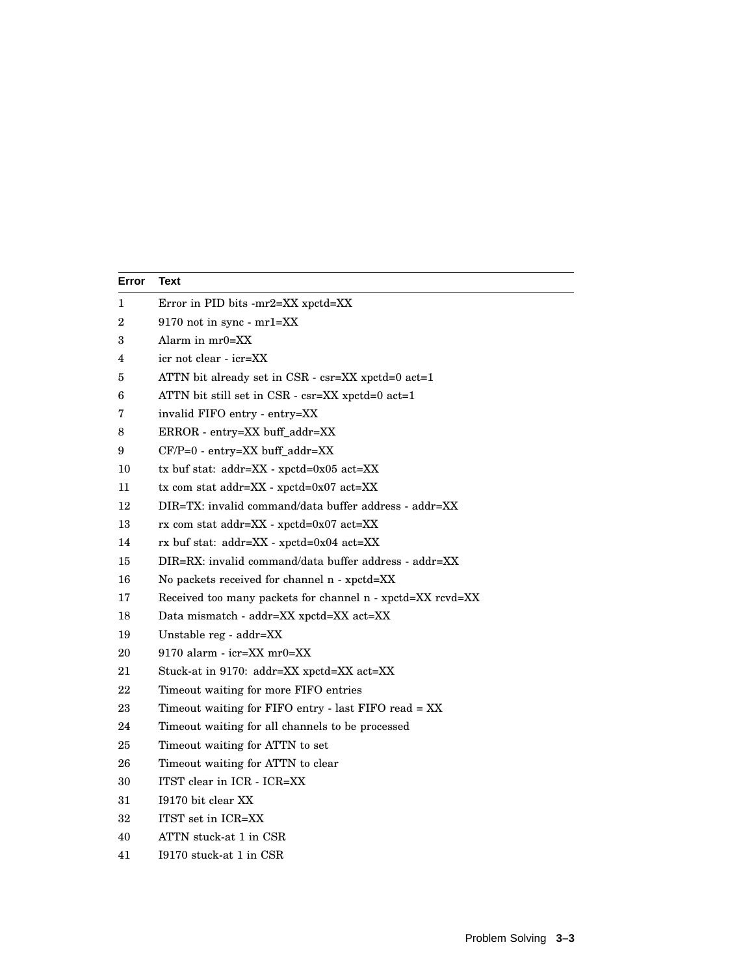| Text                                                       |
|------------------------------------------------------------|
| Error in PID bits $-mr2=XX$ xpctd= $XX$                    |
| 9170 not in sync - mr1=XX                                  |
| Alarm in $mr0=XX$                                          |
| icr not clear - icr=XX                                     |
| ATTN bit already set in CSR - csr=XX xpctd=0 act=1         |
| ATTN bit still set in $CSR$ - $csr = XX$ xpctd=0 act=1     |
| invalid FIFO entry - entry=XX                              |
| ERROR - entry=XX buff_addr=XX                              |
| CF/P=0 - entry=XX buff_addr=XX                             |
| tx buf stat: addr=XX - xpctd=0x05 act=XX                   |
| $tx$ com stat addr=XX - $x$ pctd=0x07 act=XX               |
| DIR=TX: invalid command/data buffer address - addr=XX      |
| rx com stat addr=XX - xpctd=0x07 act=XX                    |
| rx buf stat: addr=XX - xpctd=0x04 act=XX                   |
| DIR=RX: invalid command/data buffer address - addr=XX      |
| No packets received for channel n - xpctd=XX               |
| Received too many packets for channel n - xpctd=XX rcvd=XX |
| Data mismatch - addr=XX xpctd=XX act=XX                    |
| Unstable reg - addr=XX                                     |
| $9170$ alarm - icr=XX mr0=XX                               |
| Stuck-at in 9170: addr=XX xpctd=XX act=XX                  |
| Timeout waiting for more FIFO entries                      |
| Timeout waiting for FIFO entry - last FIFO read = XX       |
| Timeout waiting for all channels to be processed           |
| Timeout waiting for ATTN to set                            |
| Timeout waiting for ATTN to clear                          |
| ITST clear in ICR - ICR=XX                                 |
| I9170 bit clear XX                                         |
| ITST set in ICR=XX                                         |
| ATTN stuck-at 1 in CSR                                     |
| I9170 stuck-at 1 in CSR                                    |
|                                                            |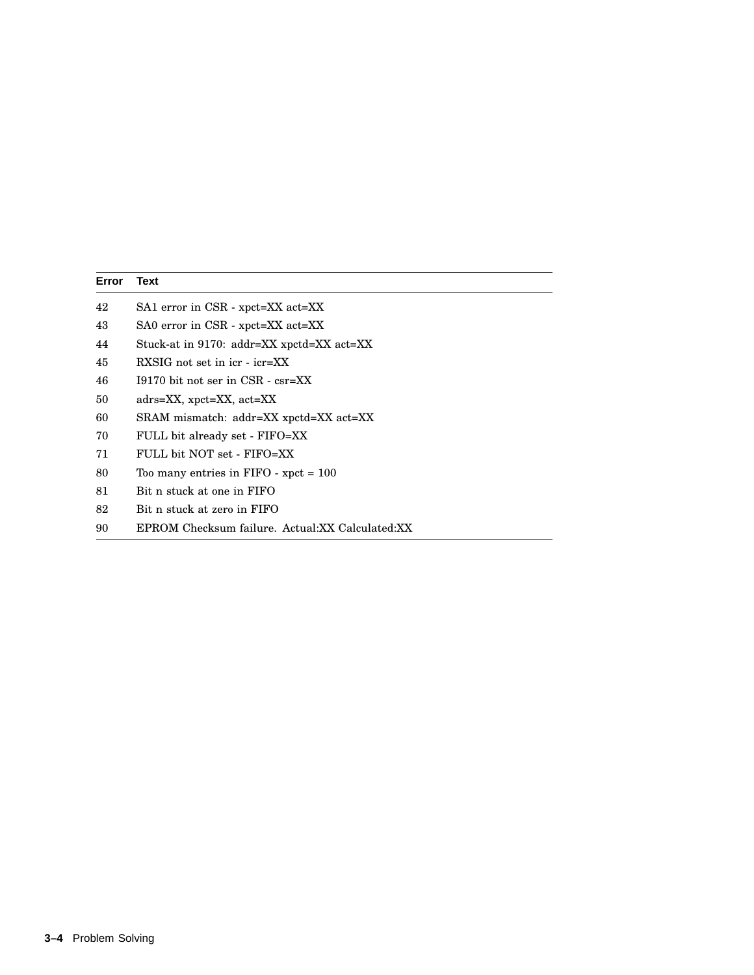| Error | Text                                            |
|-------|-------------------------------------------------|
| 42    | SA1 error in CSR - xpct=XX act=XX               |
| 43    | SA0 error in CSR - xpct=XX act=XX               |
| 44    | Stuck-at in 9170: addr=XX xpctd=XX act=XX       |
| 45    | $RXSIG$ not set in icr - icr= $XX$              |
| 46    | $19170$ bit not ser in CSR - csr=XX             |
| 50    | $adrs = XX$ , $xpt = XX$ , $act = XX$           |
| 60    | SRAM mismatch: addr=XX xpctd=XX act=XX          |
| 70    | FULL bit already set - FIFO=XX                  |
| 71    | FULL bit NOT set - FIFO=XX                      |
| 80    | Too many entries in $FIFO$ - $xpect = 100$      |
| 81    | Bit n stuck at one in FIFO                      |
| 82    | Bit n stuck at zero in FIFO                     |
| 90    | EPROM Checksum failure. Actual:XX Calculated:XX |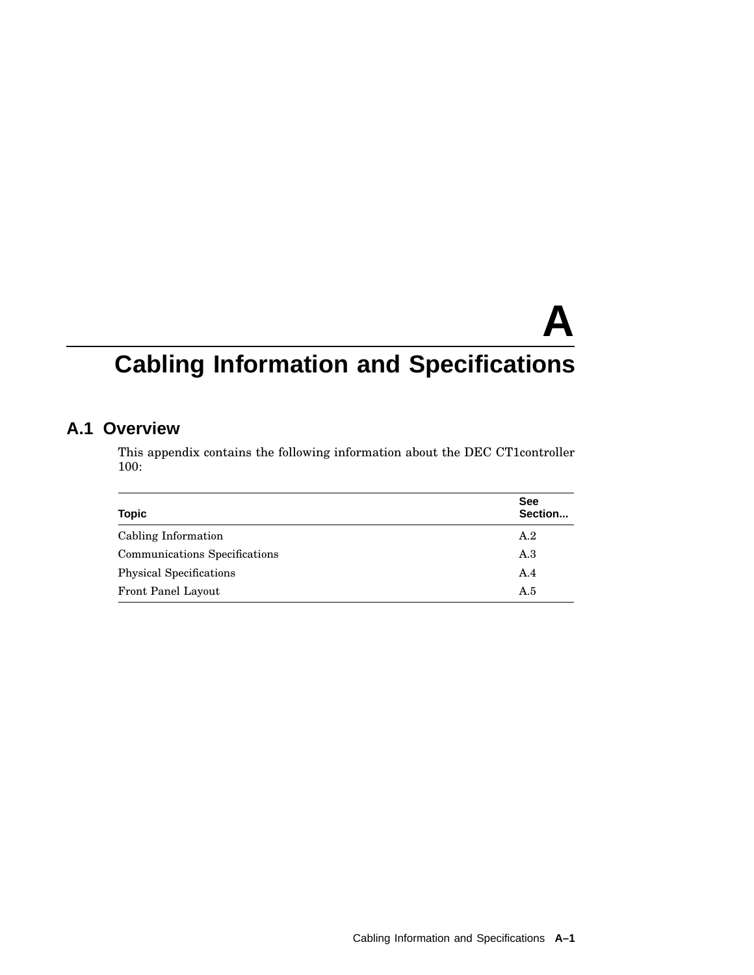# **A**

# **Cabling Information and Specifications**

#### **A.1 Overview**

This appendix contains the following information about the DEC CT1controller 100:

| <b>Topic</b>                   | <b>See</b><br>Section |
|--------------------------------|-----------------------|
| Cabling Information            | A.2                   |
| Communications Specifications  | A.3                   |
| <b>Physical Specifications</b> | A.4                   |
| Front Panel Layout             | A.5                   |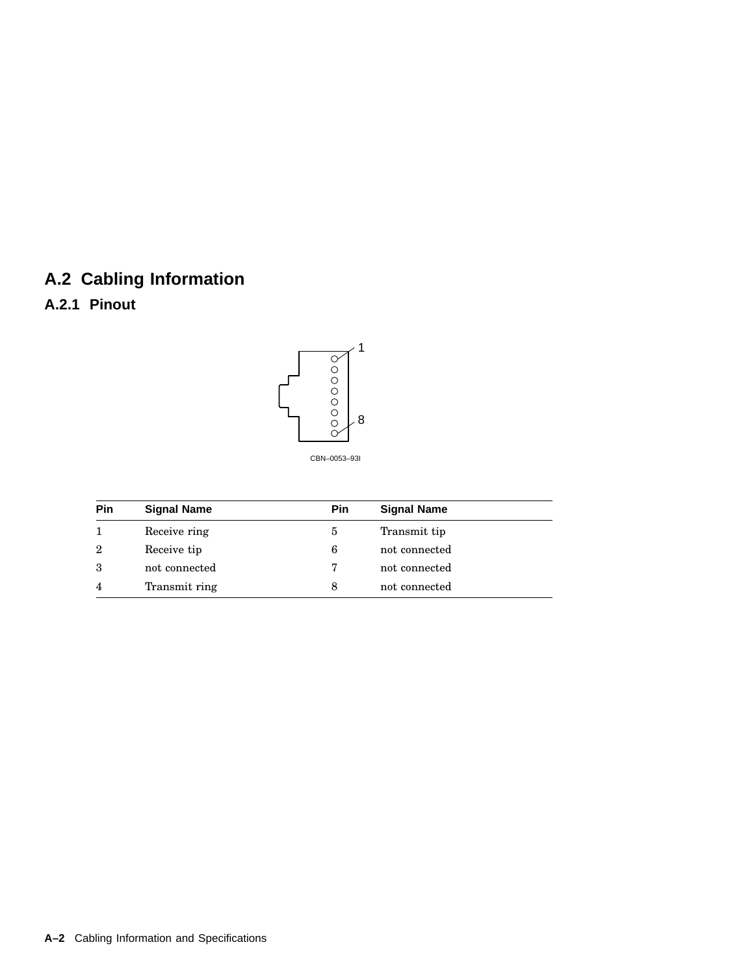## **A.2 Cabling Information**

#### **A.2.1 Pinout**



| Pin          | <b>Signal Name</b> | <b>Pin</b> | <b>Signal Name</b> |
|--------------|--------------------|------------|--------------------|
|              | Receive ring       | 5          | Transmit tip       |
| $\mathbf{2}$ | Receive tip        | 6          | not connected      |
| 3            | not connected      |            | not connected      |

4 Transmit ring 8 not connected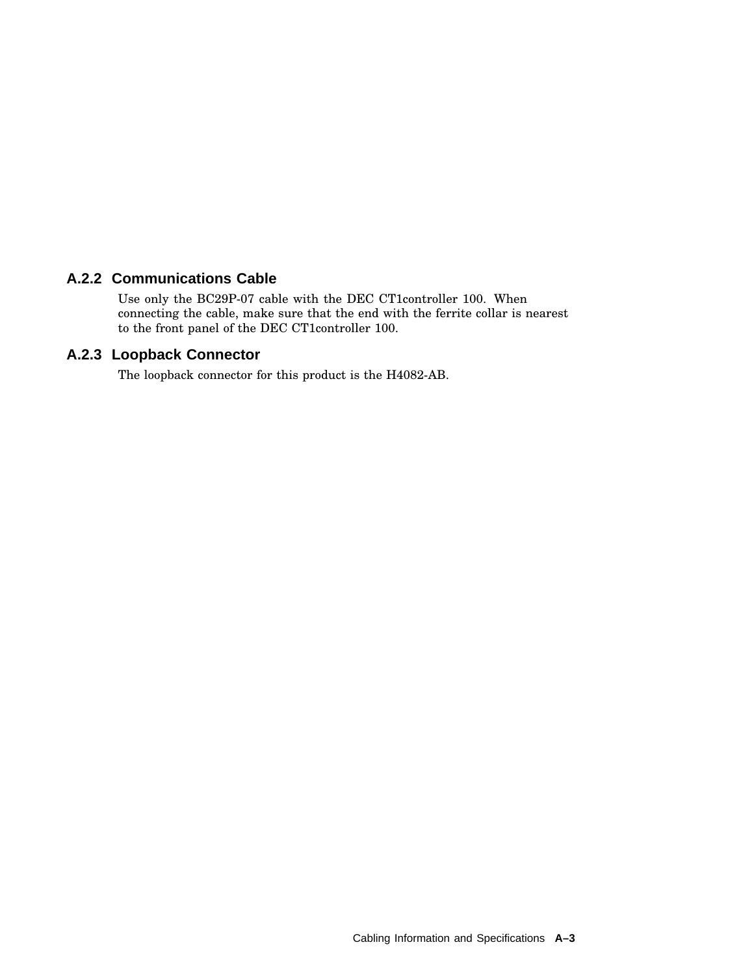#### **A.2.2 Communications Cable**

Use only the BC29P-07 cable with the DEC CT1controller 100. When connecting the cable, make sure that the end with the ferrite collar is nearest to the front panel of the DEC CT1controller 100.

#### **A.2.3 Loopback Connector**

The loopback connector for this product is the H4082-AB.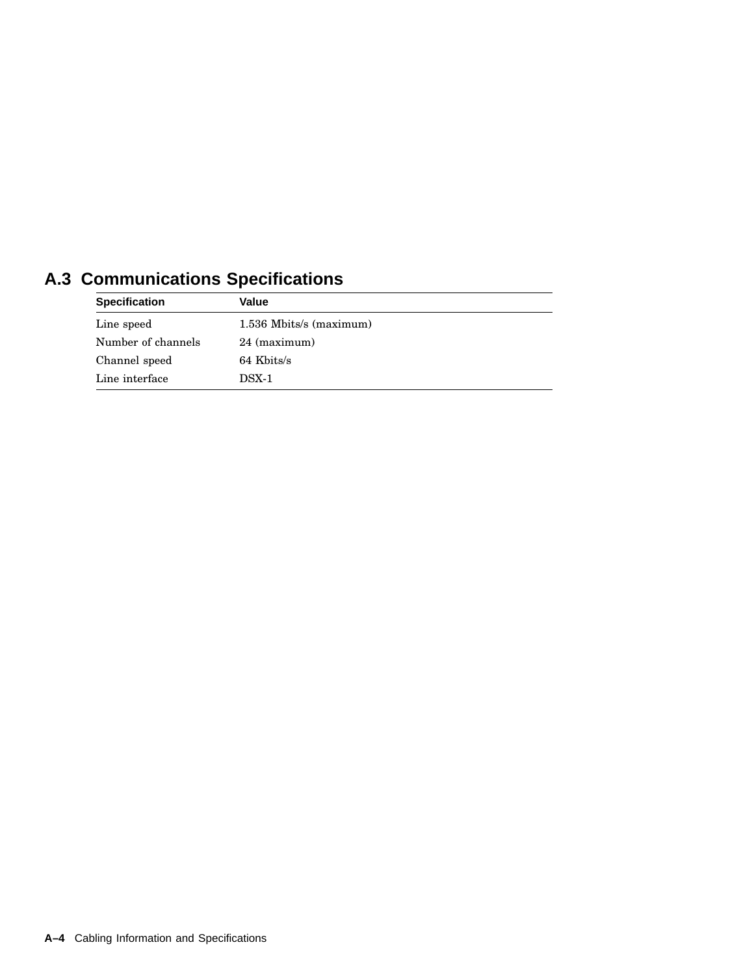| Communications opecnications |                         |  |
|------------------------------|-------------------------|--|
| <b>Specification</b>         | Value                   |  |
| Line speed                   | 1.536 Mbits/s (maximum) |  |
| Number of channels           | 24 (maximum)            |  |
| Channel speed                | 64 Kbits/s              |  |
| Line interface               | $DSX-1$                 |  |

## **A.3 Communications Specifications**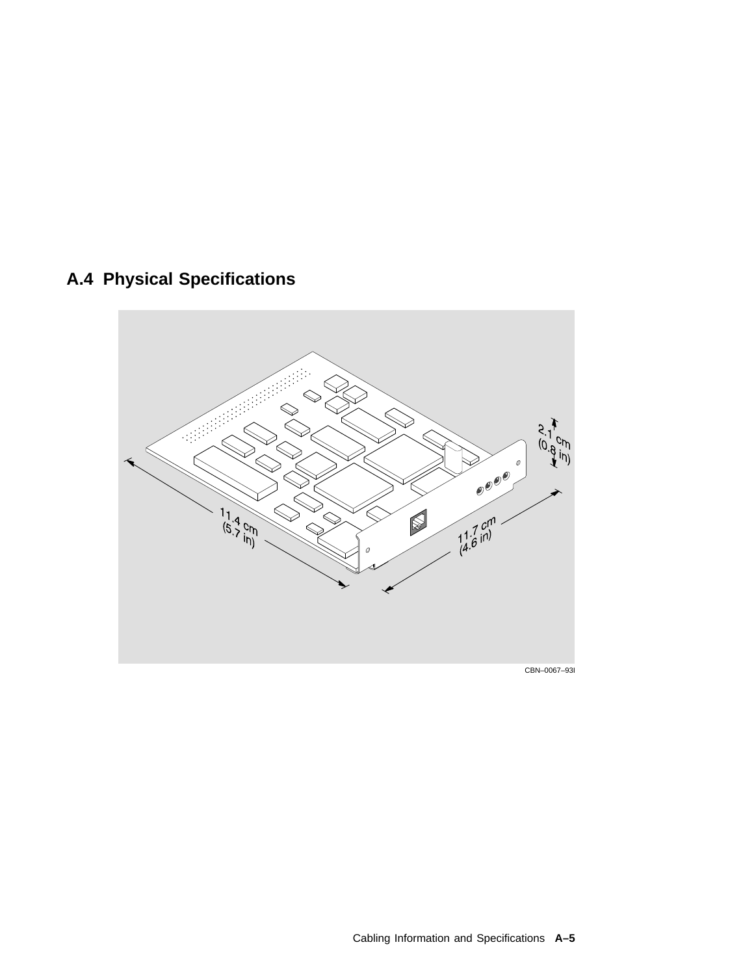